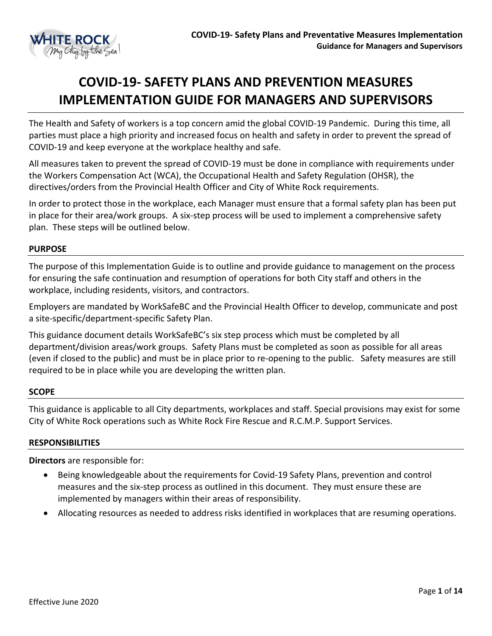

# **COVID-19- SAFETY PLANS AND PREVENTION MEASURES IMPLEMENTATION GUIDE FOR MANAGERS AND SUPERVISORS**

The Health and Safety of workers is a top concern amid the global COVID-19 Pandemic. During this time, all parties must place a high priority and increased focus on health and safety in order to prevent the spread of COVID-19 and keep everyone at the workplace healthy and safe.

All measures taken to prevent the spread of COVID-19 must be done in compliance with requirements under the Workers Compensation Act (WCA), the Occupational Health and Safety Regulation (OHSR), the directives/orders from the Provincial Health Officer and City of White Rock requirements.

In order to protect those in the workplace, each Manager must ensure that a formal safety plan has been put in place for their area/work groups. A six-step process will be used to implement a comprehensive safety plan. These steps will be outlined below.

#### **PURPOSE**

The purpose of this Implementation Guide is to outline and provide guidance to management on the process for ensuring the safe continuation and resumption of operations for both City staff and others in the workplace, including residents, visitors, and contractors.

Employers are mandated by WorkSafeBC and the Provincial Health Officer to develop, communicate and post a site-specific/department-specific Safety Plan.

This guidance document details WorkSafeBC's six step process which must be completed by all department/division areas/work groups. Safety Plans must be completed as soon as possible for all areas (even if closed to the public) and must be in place prior to re-opening to the public. Safety measures are still required to be in place while you are developing the written plan.

#### **SCOPE**

This guidance is applicable to all City departments, workplaces and staff. Special provisions may exist for some City of White Rock operations such as White Rock Fire Rescue and R.C.M.P. Support Services.

#### **RESPONSIBILITIES**

**Directors** are responsible for:

- Being knowledgeable about the requirements for Covid-19 Safety Plans, prevention and control measures and the six-step process as outlined in this document. They must ensure these are implemented by managers within their areas of responsibility.
- Allocating resources as needed to address risks identified in workplaces that are resuming operations.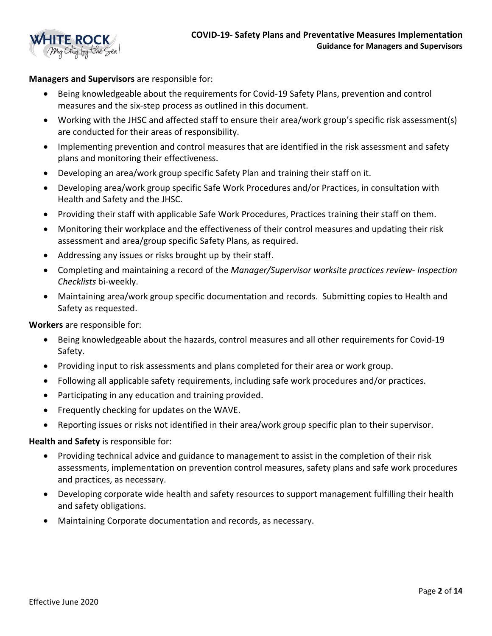

**Managers and Supervisors** are responsible for:

- Being knowledgeable about the requirements for Covid-19 Safety Plans, prevention and control measures and the six-step process as outlined in this document.
- Working with the JHSC and affected staff to ensure their area/work group's specific risk assessment(s) are conducted for their areas of responsibility.
- Implementing prevention and control measures that are identified in the risk assessment and safety plans and monitoring their effectiveness.
- Developing an area/work group specific Safety Plan and training their staff on it.
- Developing area/work group specific Safe Work Procedures and/or Practices, in consultation with Health and Safety and the JHSC.
- Providing their staff with applicable Safe Work Procedures, Practices training their staff on them.
- Monitoring their workplace and the effectiveness of their control measures and updating their risk assessment and area/group specific Safety Plans, as required.
- Addressing any issues or risks brought up by their staff.
- Completing and maintaining a record of the *Manager/Supervisor worksite practices review- Inspection Checklists* bi-weekly.
- Maintaining area/work group specific documentation and records. Submitting copies to Health and Safety as requested.

**Workers** are responsible for:

- Being knowledgeable about the hazards, control measures and all other requirements for Covid-19 Safety.
- Providing input to risk assessments and plans completed for their area or work group.
- Following all applicable safety requirements, including safe work procedures and/or practices.
- Participating in any education and training provided.
- Frequently checking for updates on the WAVE.
- Reporting issues or risks not identified in their area/work group specific plan to their supervisor.

**Health and Safety** is responsible for:

- Providing technical advice and guidance to management to assist in the completion of their risk assessments, implementation on prevention control measures, safety plans and safe work procedures and practices, as necessary.
- Developing corporate wide health and safety resources to support management fulfilling their health and safety obligations.
- Maintaining Corporate documentation and records, as necessary.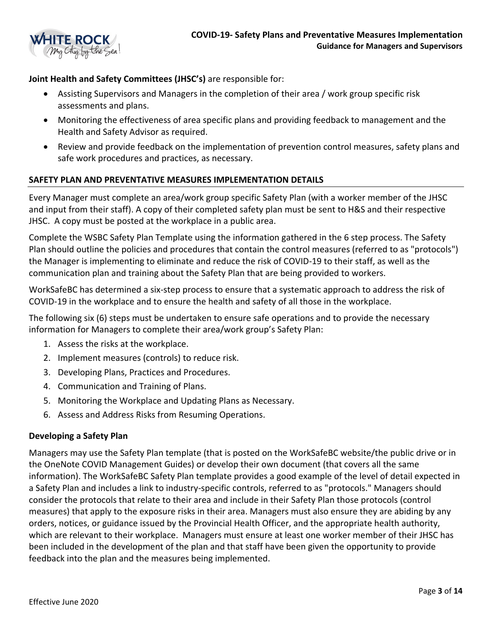

# **Joint Health and Safety Committees (JHSC's)** are responsible for:

- Assisting Supervisors and Managers in the completion of their area / work group specific risk assessments and plans.
- Monitoring the effectiveness of area specific plans and providing feedback to management and the Health and Safety Advisor as required.
- Review and provide feedback on the implementation of prevention control measures, safety plans and safe work procedures and practices, as necessary.

#### **SAFETY PLAN AND PREVENTATIVE MEASURES IMPLEMENTATION DETAILS**

Every Manager must complete an area/work group specific Safety Plan (with a worker member of the JHSC and input from their staff). A copy of their completed safety plan must be sent to H&S and their respective JHSC. A copy must be posted at the workplace in a public area.

Complete the [WSBC Safety Plan Template](file://cityhall.city.whiterock.bc.ca/SharedDocuments/Departments/Human%20Resources/HR%20(NEW)/0000-COVID-19/COVID-19%20Safety%20Plan%20Template.pdf) using the information gathered in the 6 step process. The Safety Plan should outline the policies and procedures that contain the control measures (referred to as "protocols") the Manager is implementing to eliminate and reduce the risk of COVID-19 to their staff, as well as the communication plan and training about the Safety Plan that are being provided to workers.

WorkSafeBC has determined a six-step process to ensure that a systematic approach to address the risk of COVID-19 in the workplace and to ensure the health and safety of all those in the workplace.

The following six (6) steps must be undertaken to ensure safe operations and to provide the necessary information for Managers to complete their area/work group's Safety Plan:

- 1. Assess the risks at the workplace.
- 2. Implement measures (controls) to reduce risk.
- 3. Developing Plans, Practices and Procedures.
- 4. Communication and Training of Plans.
- 5. Monitoring the Workplace and Updating Plans as Necessary.
- 6. Assess and Address Risks from Resuming Operations.

#### **Developing a Safety Plan**

Managers may use the Safety Plan template (that is posted on the WorkSafeBC website/the public drive or in the OneNote COVID Management Guides) or develop their own document (that covers all the same information). The WorkSafeBC Safety Plan template provides a good example of the level of detail expected in a Safety Plan and includes a link to industry-specific controls, referred to as "protocols." Managers should consider the protocols that relate to their area and include in their Safety Plan those protocols (control measures) that apply to the exposure risks in their area. Managers must also ensure they are abiding by any orders, notices, or guidance issued by the Provincial Health Officer, and the appropriate health authority, which are relevant to their workplace. Managers must ensure at least one worker member of their JHSC has been included in the development of the plan and that staff have been given the opportunity to provide feedback into the plan and the measures being implemented.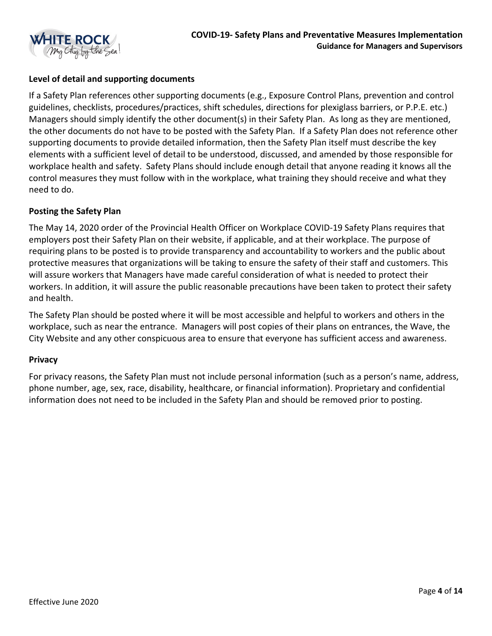

## **Level of detail and supporting documents**

If a Safety Plan references other supporting documents (e.g., Exposure Control Plans, prevention and control guidelines, checklists, procedures/practices, shift schedules, directions for plexiglass barriers, or P.P.E. etc.) Managers should simply identify the other document(s) in their Safety Plan. As long as they are mentioned, the other documents do not have to be posted with the Safety Plan. If a Safety Plan does not reference other supporting documents to provide detailed information, then the Safety Plan itself must describe the key elements with a sufficient level of detail to be understood, discussed, and amended by those responsible for workplace health and safety. Safety Plans should include enough detail that anyone reading it knows all the control measures they must follow with in the workplace, what training they should receive and what they need to do.

#### **Posting the Safety Plan**

The May 14, 2020 order of the Provincial Health Officer on Workplace COVID-19 Safety Plans requires that employers post their Safety Plan on their website, if applicable, and at their workplace. The purpose of requiring plans to be posted is to provide transparency and accountability to workers and the public about protective measures that organizations will be taking to ensure the safety of their staff and customers. This will assure workers that Managers have made careful consideration of what is needed to protect their workers. In addition, it will assure the public reasonable precautions have been taken to protect their safety and health.

The Safety Plan should be posted where it will be most accessible and helpful to workers and others in the workplace, such as near the entrance. Managers will post copies of their plans on entrances, the Wave, the City Website and any other conspicuous area to ensure that everyone has sufficient access and awareness.

#### **Privacy**

For privacy reasons, the Safety Plan must not include personal information (such as a person's name, address, phone number, age, sex, race, disability, healthcare, or financial information). Proprietary and confidential information does not need to be included in the Safety Plan and should be removed prior to posting.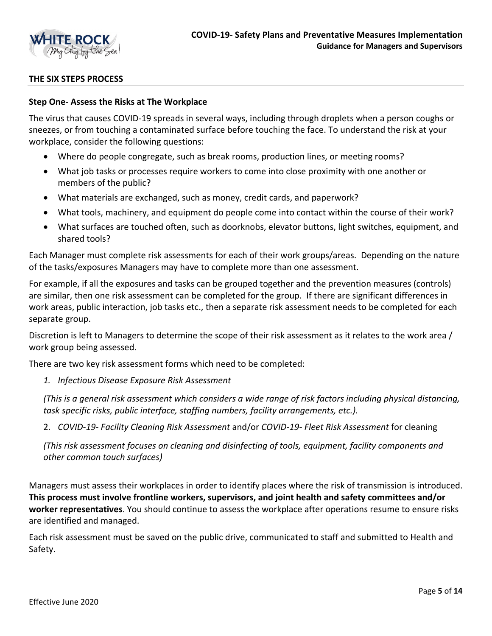

#### **THE SIX STEPS PROCESS**

#### **Step One- Assess the Risks at The Workplace**

The virus that causes COVID-19 spreads in several ways, including through droplets when a person coughs or sneezes, or from touching a contaminated surface before touching the face. To understand the risk at your workplace, consider the following questions:

- Where do people congregate, such as break rooms, production lines, or meeting rooms?
- What job tasks or processes require workers to come into close proximity with one another or members of the public?
- What materials are exchanged, such as money, credit cards, and paperwork?
- What tools, machinery, and equipment do people come into contact within the course of their work?
- What surfaces are touched often, such as doorknobs, elevator buttons, light switches, equipment, and shared tools?

Each Manager must complete risk assessments for each of their work groups/areas. Depending on the nature of the tasks/exposures Managers may have to complete more than one assessment.

For example, if all the exposures and tasks can be grouped together and the prevention measures (controls) are similar, then one risk assessment can be completed for the group. If there are significant differences in work areas, public interaction, job tasks etc., then a separate risk assessment needs to be completed for each separate group.

Discretion is left to Managers to determine the scope of their risk assessment as it relates to the work area / work group being assessed.

There are two key risk assessment forms which need to be completed:

*1. Infectious Disease Exposure Risk Assessment*

*(This is a general risk assessment which considers a wide range of risk factors including physical distancing, task specific risks, public interface, staffing numbers, facility arrangements, etc.).*

2. *COVID-19- Facility Cleaning Risk Assessment* and/or *COVID-19- Fleet Risk Assessment* for cleaning

*(This risk assessment focuses on cleaning and disinfecting of tools, equipment, facility components and other common touch surfaces)*

Managers must assess their workplaces in order to identify places where the risk of transmission is introduced. **This process must involve frontline workers, supervisors, and joint health and safety committees and/or worker representatives**. You should continue to assess the workplace after operations resume to ensure risks are identified and managed.

Each risk assessment must be saved on the public drive, communicated to staff and submitted to Health and Safety.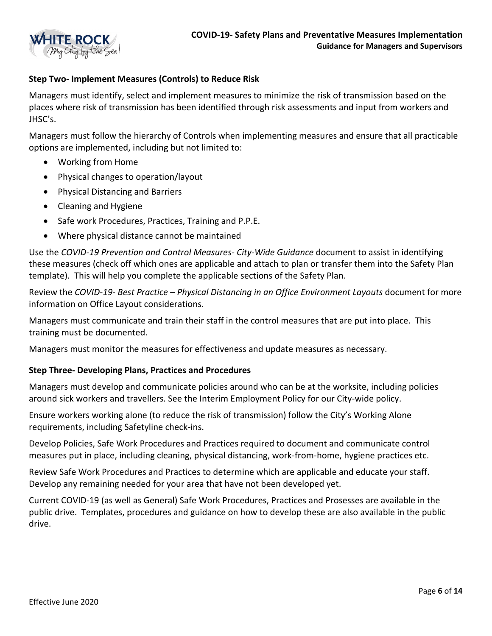

#### **Step Two- Implement Measures (Controls) to Reduce Risk**

Managers must identify, select and implement measures to minimize the risk of transmission based on the places where risk of transmission has been identified through risk assessments and input from workers and JHSC's.

Managers must follow the hierarchy of Controls when implementing measures and ensure that all practicable options are implemented, including but not limited to:

- Working from Home
- Physical changes to operation/layout
- Physical Distancing and Barriers
- Cleaning and Hygiene
- Safe work Procedures, Practices, Training and P.P.E.
- Where physical distance cannot be maintained

Use the *COVID-19 Prevention and Control Measures- City-Wide Guidance* document to assist in identifying these measures (check off which ones are applicable and attach to plan or transfer them into the Safety Plan template). This will help you complete the applicable sections of the Safety Plan.

Review the *COVID-19- Best Practice – Physical Distancing in an Office Environment Layouts* document for more information on Office Layout considerations.

Managers must communicate and train their staff in the control measures that are put into place. This training must be documented.

Managers must monitor the measures for effectiveness and update measures as necessary.

#### **Step Three- Developing Plans, Practices and Procedures**

Managers must develop and communicate policies around who can be at the worksite, including policies around sick workers and travellers. See the Interim Employment Policy for our City-wide policy.

Ensure workers working alone (to reduce the risk of transmission) follow the City's Working Alone requirements, including Safetyline check-ins.

Develop Policies, Safe Work Procedures and Practices required to document and communicate control measures put in place, including cleaning, physical distancing, work-from-home, hygiene practices etc.

Review Safe Work Procedures and Practices to determine which are applicable and educate your staff. Develop any remaining needed for your area that have not been developed yet.

Current COVID-19 (as well as General) Safe Work Procedures, Practices and Prosesses are available in the public drive. Templates, procedures and guidance on how to develop these are also available in the public drive.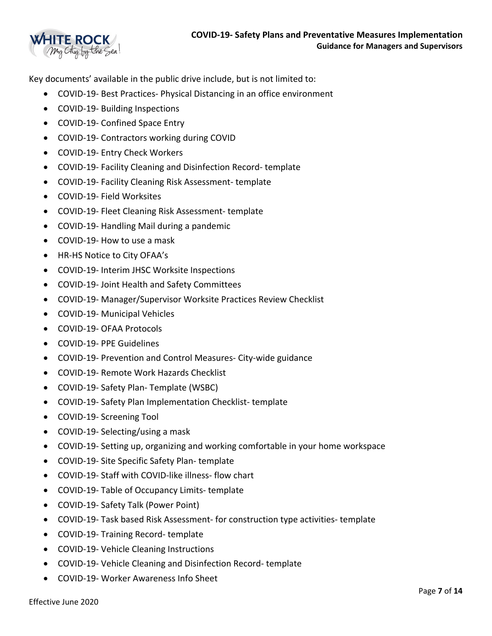

Key documents' available in the public drive include, but is not limited to:

- COVID-19- Best Practices- Physical Distancing in an office environment
- COVID-19- Building Inspections
- COVID-19- Confined Space Entry
- COVID-19- Contractors working during COVID
- COVID-19- Entry Check Workers
- COVID-19- Facility Cleaning and Disinfection Record- template
- COVID-19- Facility Cleaning Risk Assessment- template
- COVID-19- Field Worksites
- COVID-19- Fleet Cleaning Risk Assessment- template
- COVID-19- Handling Mail during a pandemic
- COVID-19- How to use a mask
- HR-HS Notice to City OFAA's
- COVID-19- Interim JHSC Worksite Inspections
- COVID-19- Joint Health and Safety Committees
- COVID-19- Manager/Supervisor Worksite Practices Review Checklist
- COVID-19- Municipal Vehicles
- COVID-19- OFAA Protocols
- COVID-19- PPE Guidelines
- COVID-19- Prevention and Control Measures- City-wide guidance
- COVID-19- Remote Work Hazards Checklist
- COVID-19- Safety Plan- Template (WSBC)
- COVID-19- Safety Plan Implementation Checklist- template
- COVID-19- Screening Tool
- COVID-19- Selecting/using a mask
- COVID-19- Setting up, organizing and working comfortable in your home workspace
- COVID-19- Site Specific Safety Plan- template
- COVID-19- Staff with COVID-like illness- flow chart
- COVID-19- Table of Occupancy Limits- template
- COVID-19- Safety Talk (Power Point)
- COVID-19- Task based Risk Assessment- for construction type activities- template
- COVID-19- Training Record- template
- COVID-19- Vehicle Cleaning Instructions
- COVID-19- Vehicle Cleaning and Disinfection Record- template
- COVID-19- Worker Awareness Info Sheet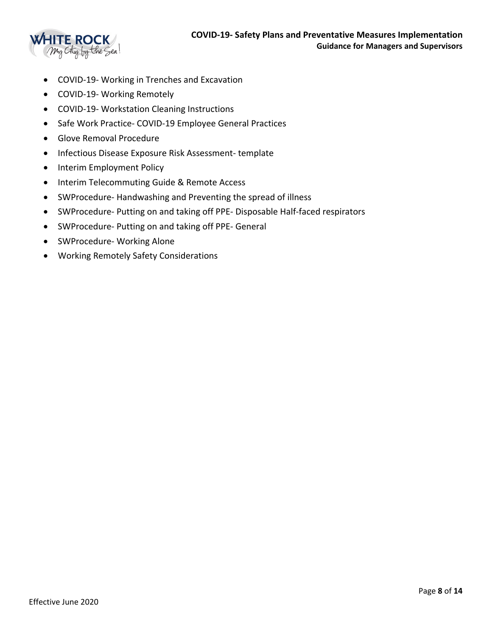

- COVID-19- Working in Trenches and Excavation
- COVID-19- Working Remotely
- COVID-19- Workstation Cleaning Instructions
- Safe Work Practice- COVID-19 Employee General Practices
- Glove Removal Procedure
- Infectious Disease Exposure Risk Assessment- template
- Interim Employment Policy
- Interim Telecommuting Guide & Remote Access
- SWProcedure- Handwashing and Preventing the spread of illness
- SWProcedure- Putting on and taking off PPE- Disposable Half-faced respirators
- SWProcedure- Putting on and taking off PPE- General
- SWProcedure- Working Alone
- Working Remotely Safety Considerations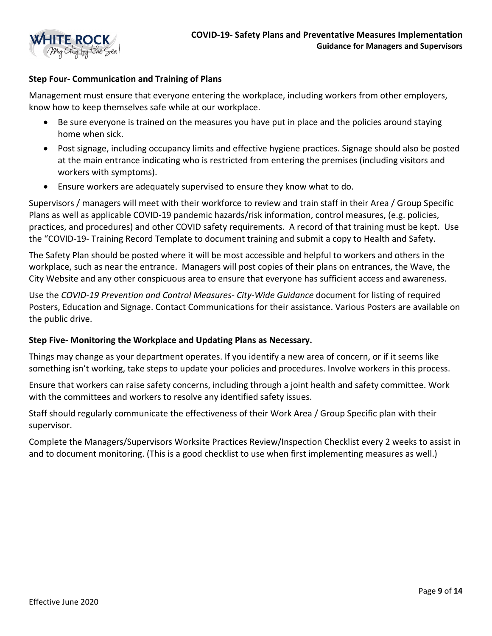

#### **Step Four- Communication and Training of Plans**

Management must ensure that everyone entering the workplace, including workers from other employers, know how to keep themselves safe while at our workplace.

- Be sure everyone is trained on the measures you have put in place and the policies around staying home when sick.
- Post signage, including occupancy limits and effective hygiene practices. Signage should also be posted at the main entrance indicating who is restricted from entering the premises (including visitors and workers with symptoms).
- Ensure workers are adequately supervised to ensure they know what to do.

Supervisors / managers will meet with their workforce to review and train staff in their Area / Group Specific Plans as well as applicable COVID-19 pandemic hazards/risk information, control measures, (e.g. policies, practices, and procedures) and other COVID safety requirements. A record of that training must be kept. Use the "COVID-19- Training Record Template to document training and submit a copy to Health and Safety.

The Safety Plan should be posted where it will be most accessible and helpful to workers and others in the workplace, such as near the entrance. Managers will post copies of their plans on entrances, the Wave, the City Website and any other conspicuous area to ensure that everyone has sufficient access and awareness.

Use the *COVID-19 Prevention and Control Measures- City-Wide Guidance* document for listing of required Posters, Education and Signage. Contact Communications for their assistance. Various Posters are available on the public drive.

#### **Step Five- Monitoring the Workplace and Updating Plans as Necessary.**

Things may change as your department operates. If you identify a new area of concern, or if it seems like something isn't working, take steps to update your policies and procedures. Involve workers in this process.

Ensure that workers can raise safety concerns, including through a joint health and safety committee. Work with the committees and workers to resolve any identified safety issues.

Staff should regularly communicate the effectiveness of their Work Area / Group Specific plan with their supervisor.

Complete the Managers/Supervisors Worksite Practices Review/Inspection Checklist every 2 weeks to assist in and to document monitoring. (This is a good checklist to use when first implementing measures as well.)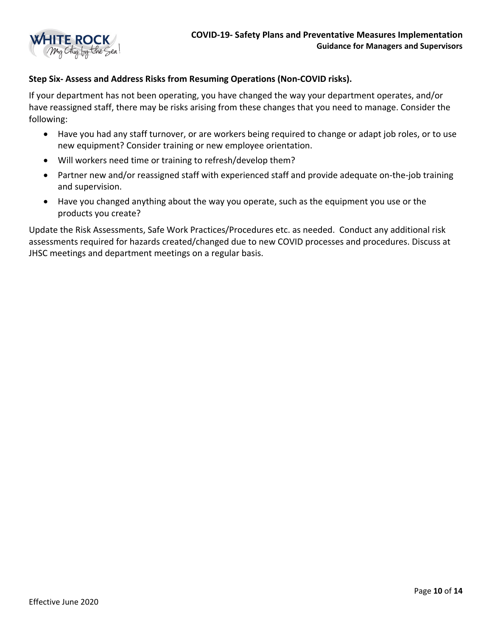

#### **Step Six- Assess and Address Risks from Resuming Operations (Non-COVID risks).**

If your department has not been operating, you have changed the way your department operates, and/or have reassigned staff, there may be risks arising from these changes that you need to manage. Consider the following:

- Have you had any staff turnover, or are workers being required to change or adapt job roles, or to use new equipment? Consider training or new employee orientation.
- Will workers need time or training to refresh/develop them?
- Partner new and/or reassigned staff with experienced staff and provide adequate on-the-job training and supervision.
- Have you changed anything about the way you operate, such as the equipment you use or the products you create?

Update the Risk Assessments, Safe Work Practices/Procedures etc. as needed. Conduct any additional risk assessments required for hazards created/changed due to new COVID processes and procedures. Discuss at JHSC meetings and department meetings on a regular basis.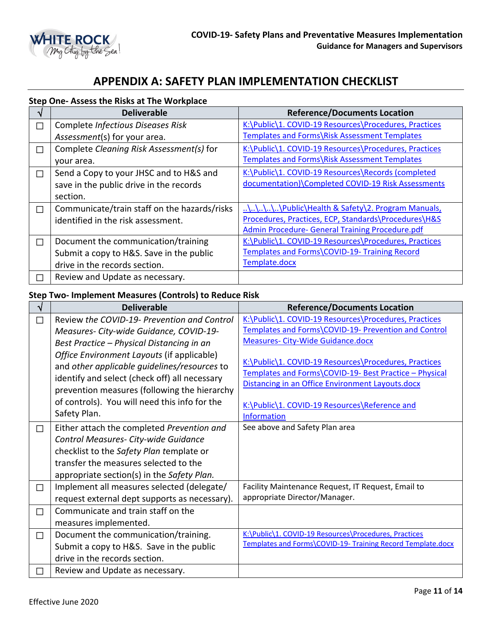

# **APPENDIX A: SAFETY PLAN IMPLEMENTATION CHECKLIST**

#### **Step One- Assess the Risks at The Workplace**

|    | <b>Deliverable</b>                           | <b>Reference/Documents Location</b>                   |
|----|----------------------------------------------|-------------------------------------------------------|
| T. | Complete Infectious Diseases Risk            | K:\Public\1. COVID-19 Resources\Procedures, Practices |
|    | Assessment(s) for your area.                 | Templates and Forms\Risk Assessment Templates         |
| T. | Complete Cleaning Risk Assessment(s) for     | K:\Public\1. COVID-19 Resources\Procedures, Practices |
|    | your area.                                   | Templates and Forms\Risk Assessment Templates         |
| J  | Send a Copy to your JHSC and to H&S and      | K:\Public\1. COVID-19 Resources\Records (completed    |
|    | save in the public drive in the records      | documentation)\Completed COVID-19 Risk Assessments    |
|    | section.                                     |                                                       |
| П  | Communicate/train staff on the hazards/risks | \\\\\Public\Health & Safety\2. Program Manuals,       |
|    | identified in the risk assessment.           | Procedures, Practices, ECP, Standards\Procedures\H&S  |
|    |                                              | Admin Procedure- General Training Procedure.pdf       |
| П  | Document the communication/training          | K:\Public\1. COVID-19 Resources\Procedures, Practices |
|    | Submit a copy to H&S. Save in the public     | Templates and Forms\COVID-19- Training Record         |
|    | drive in the records section.                | Template.docx                                         |
|    | Review and Update as necessary.              |                                                       |

# **Step Two- Implement Measures (Controls) to Reduce Risk**

| ิง     | <b>Deliverable</b>                                                                                                                                                                                                                                           | <b>Reference/Documents Location</b>                                                                                                                                                                                                 |
|--------|--------------------------------------------------------------------------------------------------------------------------------------------------------------------------------------------------------------------------------------------------------------|-------------------------------------------------------------------------------------------------------------------------------------------------------------------------------------------------------------------------------------|
| $\Box$ | Review the COVID-19- Prevention and Control                                                                                                                                                                                                                  | K:\Public\1. COVID-19 Resources\Procedures, Practices                                                                                                                                                                               |
|        | Measures- City-wide Guidance, COVID-19-                                                                                                                                                                                                                      | Templates and Forms\COVID-19- Prevention and Control                                                                                                                                                                                |
|        | Best Practice - Physical Distancing in an                                                                                                                                                                                                                    | <b>Measures- City-Wide Guidance.docx</b>                                                                                                                                                                                            |
|        | Office Environment Layouts (if applicable)<br>and other applicable quidelines/resources to<br>identify and select (check off) all necessary<br>prevention measures (following the hierarchy<br>of controls). You will need this info for the<br>Safety Plan. | K:\Public\1. COVID-19 Resources\Procedures, Practices<br>Templates and Forms\COVID-19- Best Practice - Physical<br>Distancing in an Office Environment Layouts.docx<br>K:\Public\1. COVID-19 Resources\Reference and<br>Information |
| $\Box$ | Either attach the completed Prevention and<br>Control Measures- City-wide Guidance<br>checklist to the Safety Plan template or<br>transfer the measures selected to the<br>appropriate section(s) in the Safety Plan.                                        | See above and Safety Plan area                                                                                                                                                                                                      |
| $\Box$ | Implement all measures selected (delegate/                                                                                                                                                                                                                   | Facility Maintenance Request, IT Request, Email to                                                                                                                                                                                  |
|        | request external dept supports as necessary).                                                                                                                                                                                                                | appropriate Director/Manager.                                                                                                                                                                                                       |
| $\Box$ | Communicate and train staff on the<br>measures implemented.                                                                                                                                                                                                  |                                                                                                                                                                                                                                     |
| $\Box$ | Document the communication/training.                                                                                                                                                                                                                         | K:\Public\1. COVID-19 Resources\Procedures, Practices                                                                                                                                                                               |
|        | Submit a copy to H&S. Save in the public                                                                                                                                                                                                                     | Templates and Forms\COVID-19- Training Record Template.docx                                                                                                                                                                         |
|        | drive in the records section.                                                                                                                                                                                                                                |                                                                                                                                                                                                                                     |
| $\Box$ | Review and Update as necessary.                                                                                                                                                                                                                              |                                                                                                                                                                                                                                     |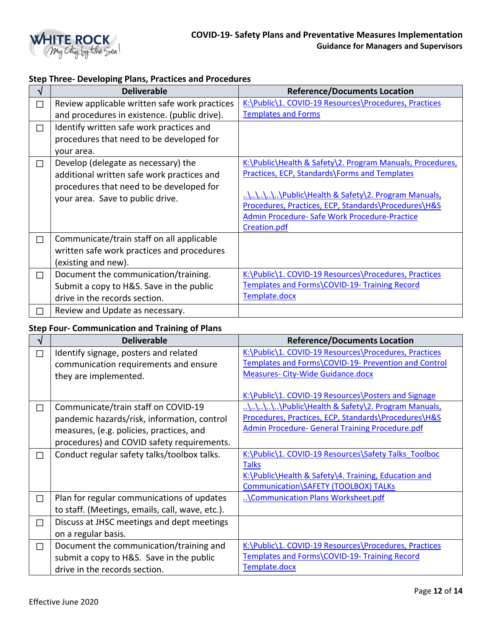

# **Step Three- Developing Plans, Practices and Procedures**

|        | <b>Deliverable</b>                            | <b>Reference/Documents Location</b>                           |
|--------|-----------------------------------------------|---------------------------------------------------------------|
| $\Box$ | Review applicable written safe work practices | K:\Public\1. COVID-19 Resources\Procedures, Practices         |
|        | and procedures in existence. (public drive).  | <b>Templates and Forms</b>                                    |
| $\Box$ | Identify written safe work practices and      |                                                               |
|        | procedures that need to be developed for      |                                                               |
|        | your area.                                    |                                                               |
| $\Box$ | Develop (delegate as necessary) the           | K:\Public\Health & Safety\2. Program Manuals, Procedures,     |
|        | additional written safe work practices and    | <b>Practices, ECP, Standards\Forms and Templates</b>          |
|        | procedures that need to be developed for      |                                                               |
|        | your area. Save to public drive.              | \\\\\Public\Health & Safety\2. Program Manuals,               |
|        |                                               | Procedures, Practices, ECP, Standards\Procedures\H&S          |
|        |                                               | Admin Procedure- Safe Work Procedure-Practice<br>Creation.pdf |
| $\Box$ | Communicate/train staff on all applicable     |                                                               |
|        | written safe work practices and procedures    |                                                               |
|        | (existing and new).                           |                                                               |
| $\Box$ | Document the communication/training.          | K:\Public\1. COVID-19 Resources\Procedures, Practices         |
|        | Submit a copy to H&S. Save in the public      | Templates and Forms\COVID-19- Training Record                 |
|        | drive in the records section.                 | Template.docx                                                 |
|        | Review and Update as necessary.               |                                                               |
| □      |                                               |                                                               |

# **Step Four- Communication and Training of Plans**

| V      | <b>Deliverable</b>                              | <b>Reference/Documents Location</b>                   |
|--------|-------------------------------------------------|-------------------------------------------------------|
| $\Box$ | Identify signage, posters and related           | K:\Public\1. COVID-19 Resources\Procedures, Practices |
|        | communication requirements and ensure           | Templates and Forms\COVID-19- Prevention and Control  |
|        | they are implemented.                           | <b>Measures- City-Wide Guidance.docx</b>              |
|        |                                                 | K:\Public\1. COVID-19 Resources\Posters and Signage   |
| $\Box$ | Communicate/train staff on COVID-19             | \\\\\Public\Health & Safety\2. Program Manuals,       |
|        | pandemic hazards/risk, information, control     | Procedures, Practices, ECP, Standards\Procedures\H&S  |
|        | measures, (e.g. policies, practices, and        | Admin Procedure- General Training Procedure.pdf       |
|        | procedures) and COVID safety requirements.      |                                                       |
| $\Box$ | Conduct regular safety talks/toolbox talks.     | K:\Public\1. COVID-19 Resources\Safety Talks Toolboc  |
|        |                                                 | <b>Talks</b>                                          |
|        |                                                 | K:\Public\Health & Safety\4. Training, Education and  |
|        |                                                 | Communication\SAFETY (TOOLBOX) TALKs                  |
| $\Box$ | Plan for regular communications of updates      | \Communication Plans Worksheet.pdf                    |
|        | to staff. (Meetings, emails, call, wave, etc.). |                                                       |
| $\Box$ | Discuss at JHSC meetings and dept meetings      |                                                       |
|        | on a regular basis.                             |                                                       |
| $\Box$ | Document the communication/training and         | K:\Public\1. COVID-19 Resources\Procedures, Practices |
|        | submit a copy to H&S. Save in the public        | Templates and Forms\COVID-19- Training Record         |
|        | drive in the records section.                   | Template.docx                                         |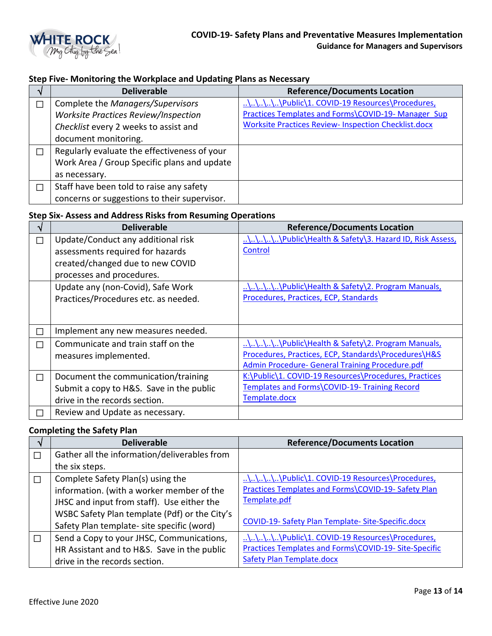

## **Step Five- Monitoring the Workplace and Updating Plans as Necessary**

|    | <b>Deliverable</b>                           | <b>Reference/Documents Location</b>                         |
|----|----------------------------------------------|-------------------------------------------------------------|
| J. | Complete the Managers/Supervisors            | \\\\\Public\1. COVID-19 Resources\Procedures,               |
|    | Worksite Practices Review/Inspection         | Practices Templates and Forms\COVID-19- Manager Sup         |
|    | Checklist every 2 weeks to assist and        | <b>Worksite Practices Review- Inspection Checklist.docx</b> |
|    | document monitoring.                         |                                                             |
| ┓  | Regularly evaluate the effectiveness of your |                                                             |
|    | Work Area / Group Specific plans and update  |                                                             |
|    | as necessary.                                |                                                             |
| ┐  | Staff have been told to raise any safety     |                                                             |
|    | concerns or suggestions to their supervisor. |                                                             |

# **Step Six- Assess and Address Risks from Resuming Operations**

|               | <b>Deliverable</b>                       | <b>Reference/Documents Location</b>                    |
|---------------|------------------------------------------|--------------------------------------------------------|
| П             | Update/Conduct any additional risk       | \\\\\Public\Health & Safety\3. Hazard ID, Risk Assess, |
|               | assessments required for hazards         | Control                                                |
|               | created/changed due to new COVID         |                                                        |
|               | processes and procedures.                |                                                        |
|               | Update any (non-Covid), Safe Work        | \\\\\Public\Health & Safety\2. Program Manuals,        |
|               | Practices/Procedures etc. as needed.     | Procedures, Practices, ECP, Standards                  |
|               |                                          |                                                        |
|               |                                          |                                                        |
| $\mathcal{L}$ | Implement any new measures needed.       |                                                        |
| J             | Communicate and train staff on the       | \\\\\Public\Health & Safety\2. Program Manuals,        |
|               | measures implemented.                    | Procedures, Practices, ECP, Standards\Procedures\H&S   |
|               |                                          | Admin Procedure- General Training Procedure.pdf        |
| П             | Document the communication/training      | K:\Public\1. COVID-19 Resources\Procedures, Practices  |
|               | Submit a copy to H&S. Save in the public | Templates and Forms\COVID-19- Training Record          |
|               | drive in the records section.            | Template.docx                                          |
|               | Review and Update as necessary.          |                                                        |

#### **Completing the Safety Plan**

|        | <b>Deliverable</b>                            | <b>Reference/Documents Location</b>                   |
|--------|-----------------------------------------------|-------------------------------------------------------|
| П      | Gather all the information/deliverables from  |                                                       |
|        | the six steps.                                |                                                       |
| $\Box$ | Complete Safety Plan(s) using the             | \\\\\Public\1. COVID-19 Resources\Procedures,         |
|        | information. (with a worker member of the     | Practices Templates and Forms\COVID-19- Safety Plan   |
|        | JHSC and input from staff). Use either the    | Template.pdf                                          |
|        | WSBC Safety Plan template (Pdf) or the City's |                                                       |
|        | Safety Plan template- site specific (word)    | COVID-19- Safety Plan Template- Site-Specific.docx    |
|        | Send a Copy to your JHSC, Communications,     | \\\\\Public\1. COVID-19 Resources\Procedures,         |
|        | HR Assistant and to H&S. Save in the public   | Practices Templates and Forms\COVID-19- Site-Specific |
|        | drive in the records section.                 | <b>Safety Plan Template.docx</b>                      |